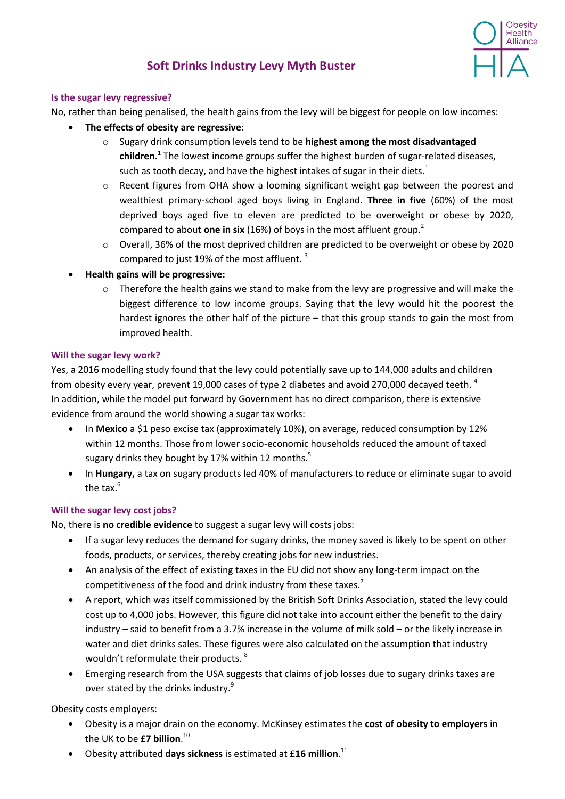<span id="page-0-0"></span>

# **Soft Drinks Industry Levy Myth Buster**

### **Is the sugar levy regressive?**

No, rather than being penalised, the health gains from the levy will be biggest for people on low incomes:

- **The effects of obesity are regressive:**
	- o Sugary drink consumption levels tend to be **highest among the most disadvantaged children.** [1](#page-0-0) The lowest income groups suffer the highest burden of sugar-related diseases, such as tooth decay, and have the highest intakes of sugar in their diets.<sup>1</sup>
	- o Recent figures from OHA show a looming significant weight gap between the poorest and wealthiest primary-school aged boys living in England. **Three in five** (60%) of the most deprived boys aged five to eleven are predicted to be overweight or obese by 2020, compared to about **one in six** (16%) of boys in the most affluent group.<sup>2</sup>
	- o Overall, 36% of the most deprived children are predicted to be overweight or obese by 2020 compared to just 19% of the most affluent.<sup>3</sup>
- **Health gains will be progressive:**
	- o Therefore the health gains we stand to make from the levy are progressive and will make the biggest difference to low income groups. Saying that the levy would hit the poorest the hardest ignores the other half of the picture – that this group stands to gain the most from improved health.

#### **Will the sugar levy work?**

Yes, a 2016 modelling study found that the levy could potentially save up to 144,000 adults and children from obesity every year, prevent 19,000 cases of type 2 diabetes and avoid 270,000 decayed teeth.  $^4$ In addition, while the model put forward by Government has no direct comparison, there is extensive evidence from around the world showing a sugar tax works:

- In **Mexico** a \$1 peso excise tax (approximately 10%), on average, reduced consumption by 12% within 12 months. Those from lower socio-economic households reduced the amount of taxed sugary drinks they bought by 17% within 12 months.<sup>5</sup>
- In **Hungary,** a tax on sugary products led 40% of manufacturers to reduce or eliminate sugar to avoid the tax. $6$

#### **Will the sugar levy cost jobs?**

No, there is **no credible evidence** to suggest a sugar levy will costs jobs:

- If a sugar levy reduces the demand for sugary drinks, the money saved is likely to be spent on other foods, products, or services, thereby creating jobs for new industries.
- An analysis of the effect of existing taxes in the EU did not show any long-term impact on the competitiveness of the food and drink industry from these taxes.<sup>7</sup>
- A report, which was itself commissioned by the British Soft Drinks Association, stated the levy could cost up to 4,000 jobs. However, this figure did not take into account either the benefit to the dairy industry – said to benefit from a 3.7% increase in the volume of milk sold – or the likely increase in water and diet drinks sales. These figures were also calculated on the assumption that industry wouldn't reformulate their products. <sup>8</sup>
- Emerging research from the USA suggests that claims of job losses due to sugary drinks taxes are over stated by the drinks industry.<sup>9</sup>

Obesity costs employers:

- Obesity is a major drain on the economy. McKinsey estimates the **cost of obesity to employers** in the UK to be **£7 billion**. 10
- Obesity attributed **days sickness** is estimated at £**16 million**. 11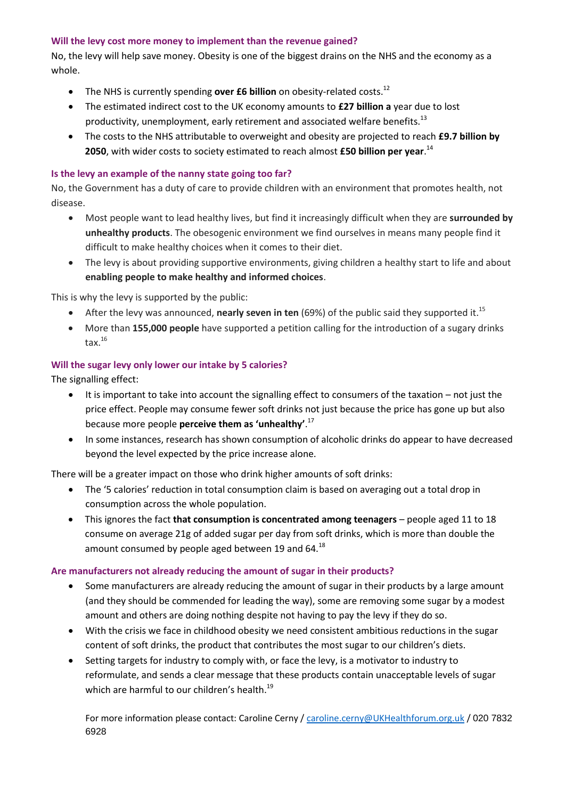## **Will the levy cost more money to implement than the revenue gained?**

No, the levy will help save money. Obesity is one of the biggest drains on the NHS and the economy as a whole.

- The NHS is currently spending **over £6 billion** on obesity-related costs.<sup>12</sup>
- The estimated indirect cost to the UK economy amounts to **£27 billion a** year due to lost productivity, unemployment, early retirement and associated welfare benefits.<sup>13</sup>
- The costs to the NHS attributable to overweight and obesity are projected to reach **£9.7 billion by 2050**, with wider costs to society estimated to reach almost **£50 billion per year**. 14

## **Is the levy an example of the nanny state going too far?**

No, the Government has a duty of care to provide children with an environment that promotes health, not disease.

- Most people want to lead healthy lives, but find it increasingly difficult when they are **surrounded by unhealthy products**. The obesogenic environment we find ourselves in means many people find it difficult to make healthy choices when it comes to their diet.
- The levy is about providing supportive environments, giving children a healthy start to life and about **enabling people to make healthy and informed choices**.

This is why the levy is supported by the public:

- After the levy was announced, **nearly seven in ten** (69%) of the public said they supported it.<sup>15</sup>
- More than **155,000 people** have supported a petition calling for the introduction of a sugary drinks tax. $^{16}$

# **Will the sugar levy only lower our intake by 5 calories?**

The signalling effect:

- It is important to take into account the signalling effect to consumers of the taxation not just the price effect. People may consume fewer soft drinks not just because the price has gone up but also because more people **perceive them as 'unhealthy'**. 17
- In some instances, research has shown consumption of alcoholic drinks do appear to have decreased beyond the level expected by the price increase alone.

There will be a greater impact on those who drink higher amounts of soft drinks:

- The '5 calories' reduction in total consumption claim is based on averaging out a total drop in consumption across the whole population.
- This ignores the fact **that consumption is concentrated among teenagers** people aged 11 to 18 consume on average 21g of added sugar per day from soft drinks, which is more than double the amount consumed by people aged between 19 and 64. $^{18}$

# **Are manufacturers not already reducing the amount of sugar in their products?**

- Some manufacturers are already reducing the amount of sugar in their products by a large amount (and they should be commended for leading the way), some are removing some sugar by a modest amount and others are doing nothing despite not having to pay the levy if they do so.
- With the crisis we face in childhood obesity we need consistent ambitious reductions in the sugar content of soft drinks, the product that contributes the most sugar to our children's diets.
- Setting targets for industry to comply with, or face the levy, is a motivator to industry to reformulate, and sends a clear message that these products contain unacceptable levels of sugar which are harmful to our children's health.<sup>19</sup>

For more information please contact: Caroline Cerny / [caroline.cerny@UKHealthforum.org.uk](mailto:caroline.cerny@UKHealthforum.org.uk) / 020 7832 6928